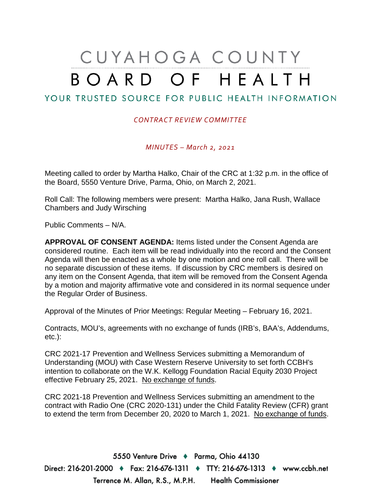# CUYAHOGA COUNTY BOARD OF HEALTH

# YOUR TRUSTED SOURCE FOR PUBLIC HEALTH INFORMATION

#### *CONTRACT REVIEW COMMITTEE*

*MINUTES – March 2, 2021*

Meeting called to order by Martha Halko, Chair of the CRC at 1:32 p.m. in the office of the Board, 5550 Venture Drive, Parma, Ohio, on March 2, 2021.

Roll Call: The following members were present: Martha Halko, Jana Rush, Wallace Chambers and Judy Wirsching

Public Comments – N/A.

**APPROVAL OF CONSENT AGENDA:** Items listed under the Consent Agenda are considered routine. Each item will be read individually into the record and the Consent Agenda will then be enacted as a whole by one motion and one roll call. There will be no separate discussion of these items. If discussion by CRC members is desired on any item on the Consent Agenda, that item will be removed from the Consent Agenda by a motion and majority affirmative vote and considered in its normal sequence under the Regular Order of Business.

Approval of the Minutes of Prior Meetings: Regular Meeting – February 16, 2021.

Contracts, MOU's, agreements with no exchange of funds (IRB's, BAA's, Addendums, etc.):

CRC 2021-17 Prevention and Wellness Services submitting a Memorandum of Understanding (MOU) with Case Western Reserve University to set forth CCBH's intention to collaborate on the W.K. Kellogg Foundation Racial Equity 2030 Project effective February 25, 2021. No exchange of funds.

CRC 2021-18 Prevention and Wellness Services submitting an amendment to the contract with Radio One (CRC 2020-131) under the Child Fatality Review (CFR) grant to extend the term from December 20, 2020 to March 1, 2021. No exchange of funds.

5550 Venture Drive + Parma, Ohio 44130 Direct: 216-201-2000 ♦ Fax: 216-676-1311 ♦ TTY: 216-676-1313 ♦ www.ccbh.net Terrence M. Allan, R.S., M.P.H. Health Commissioner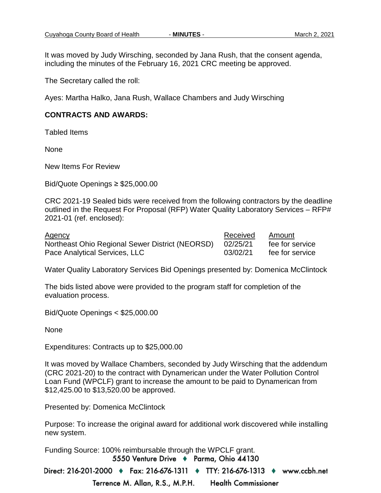It was moved by Judy Wirsching, seconded by Jana Rush, that the consent agenda, including the minutes of the February 16, 2021 CRC meeting be approved.

The Secretary called the roll:

Ayes: Martha Halko, Jana Rush, Wallace Chambers and Judy Wirsching

#### **CONTRACTS AND AWARDS:**

Tabled Items

None

New Items For Review

Bid/Quote Openings ≥ \$25,000.00

CRC 2021-19 Sealed bids were received from the following contractors by the deadline outlined in the Request For Proposal (RFP) Water Quality Laboratory Services – RFP# 2021-01 (ref. enclosed):

Agency **Agency Received** Amount Northeast Ohio Regional Sewer District (NEORSD) 02/25/21 fee for service Pace Analytical Services, LLC 03/02/21 fee for service

Water Quality Laboratory Services Bid Openings presented by: Domenica McClintock

The bids listed above were provided to the program staff for completion of the evaluation process.

Bid/Quote Openings < \$25,000.00

None

Expenditures: Contracts up to \$25,000.00

It was moved by Wallace Chambers, seconded by Judy Wirsching that the addendum (CRC 2021-20) to the contract with Dynamerican under the Water Pollution Control Loan Fund (WPCLF) grant to increase the amount to be paid to Dynamerican from \$12,425.00 to \$13,520.00 be approved.

Presented by: Domenica McClintock

Purpose: To increase the original award for additional work discovered while installing new system.

Funding Source: 100% reimbursable through the WPCLF grant.5550 Venture Drive + Parma, Ohio 44130

Direct: 216-201-2000 ♦ Fax: 216-676-1311 ♦ TTY: 216-676-1313 ♦ www.ccbh.net Terrence M. Allan, R.S., M.P.H. **Health Commissioner**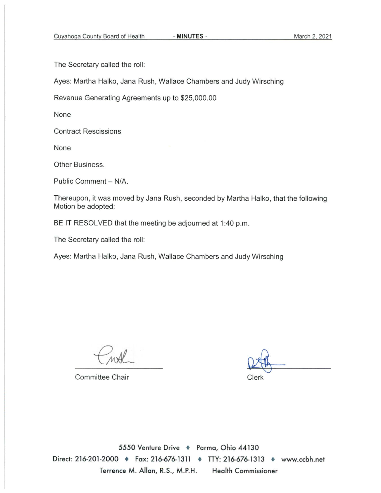- MINUTES -

The Secretary called the roll:

Ayes: Martha Halko, Jana Rush, Wallace Chambers and Judy Wirsching

Revenue Generating Agreements up to \$25,000.00

None

**Contract Rescissions** 

None

Other Business.

Public Comment - N/A.

Thereupon, it was moved by Jana Rush, seconded by Martha Halko, that the following Motion be adopted:

BE IT RESOLVED that the meeting be adjourned at 1:40 p.m.

The Secretary called the roll:

Ayes: Martha Halko, Jana Rush, Wallace Chambers and Judy Wirsching

**Committee Chair** 

Clerk